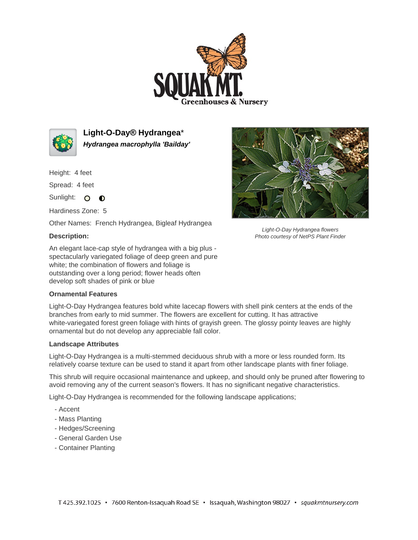



**Light-O-Day® Hydrangea**\* **Hydrangea macrophylla 'Bailday'**

Height: 4 feet

Spread: 4 feet

Sunlight: O O

Hardiness Zone: 5

Other Names: French Hydrangea, Bigleaf Hydrangea

## **Description:**

An elegant lace-cap style of hydrangea with a big plus spectacularly variegated foliage of deep green and pure white; the combination of flowers and foliage is outstanding over a long period; flower heads often develop soft shades of pink or blue

## **Ornamental Features**

Light-O-Day Hydrangea features bold white lacecap flowers with shell pink centers at the ends of the branches from early to mid summer. The flowers are excellent for cutting. It has attractive white-variegated forest green foliage with hints of grayish green. The glossy pointy leaves are highly ornamental but do not develop any appreciable fall color.

## **Landscape Attributes**

Light-O-Day Hydrangea is a multi-stemmed deciduous shrub with a more or less rounded form. Its relatively coarse texture can be used to stand it apart from other landscape plants with finer foliage.

This shrub will require occasional maintenance and upkeep, and should only be pruned after flowering to avoid removing any of the current season's flowers. It has no significant negative characteristics.

Light-O-Day Hydrangea is recommended for the following landscape applications;

- Accent
- Mass Planting
- Hedges/Screening
- General Garden Use
- Container Planting



Light-O-Day Hydrangea flowers Photo courtesy of NetPS Plant Finder